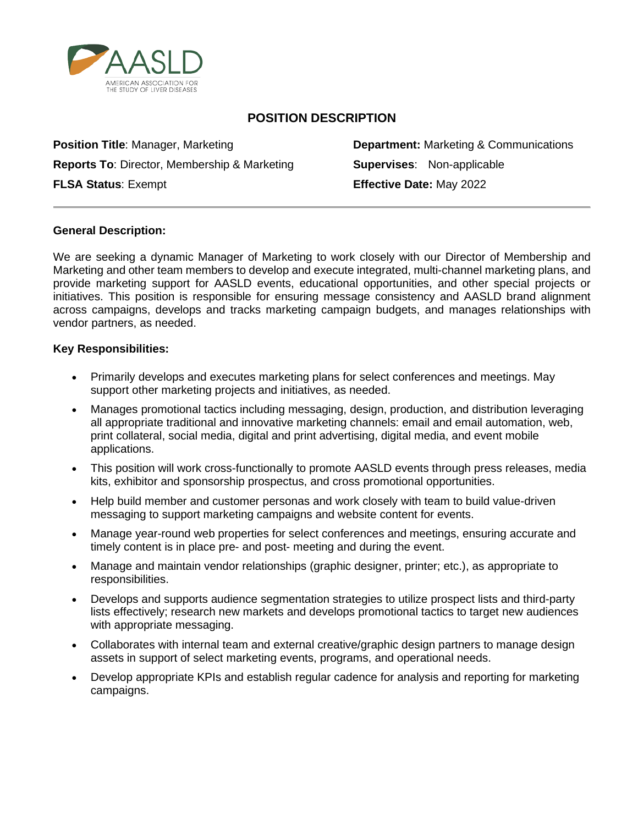

# **POSITION DESCRIPTION**

**Position Title**: Manager, Marketing **Department:** Marketing & Communications **Reports To: Director, Membership & Marketing <b>Supervises:** Non-applicable **FLSA Status**: Exempt **Effective Date:** May 2022

## **General Description:**

We are seeking a dynamic Manager of Marketing to work closely with our Director of Membership and Marketing and other team members to develop and execute integrated, multi-channel marketing plans, and provide marketing support for AASLD events, educational opportunities, and other special projects or initiatives. This position is responsible for ensuring message consistency and AASLD brand alignment across campaigns, develops and tracks marketing campaign budgets, and manages relationships with vendor partners, as needed.

#### **Key Responsibilities:**

- Primarily develops and executes marketing plans for select conferences and meetings. May support other marketing projects and initiatives, as needed.
- Manages promotional tactics including messaging, design, production, and distribution leveraging all appropriate traditional and innovative marketing channels: email and email automation, web, print collateral, social media, digital and print advertising, digital media, and event mobile applications.
- This position will work cross-functionally to promote AASLD events through press releases, media kits, exhibitor and sponsorship prospectus, and cross promotional opportunities.
- Help build member and customer personas and work closely with team to build value-driven messaging to support marketing campaigns and website content for events.
- Manage year-round web properties for select conferences and meetings, ensuring accurate and timely content is in place pre- and post- meeting and during the event.
- Manage and maintain vendor relationships (graphic designer, printer; etc.), as appropriate to responsibilities.
- Develops and supports audience segmentation strategies to utilize prospect lists and third-party lists effectively; research new markets and develops promotional tactics to target new audiences with appropriate messaging.
- Collaborates with internal team and external creative/graphic design partners to manage design assets in support of select marketing events, programs, and operational needs.
- Develop appropriate KPIs and establish regular cadence for analysis and reporting for marketing campaigns.